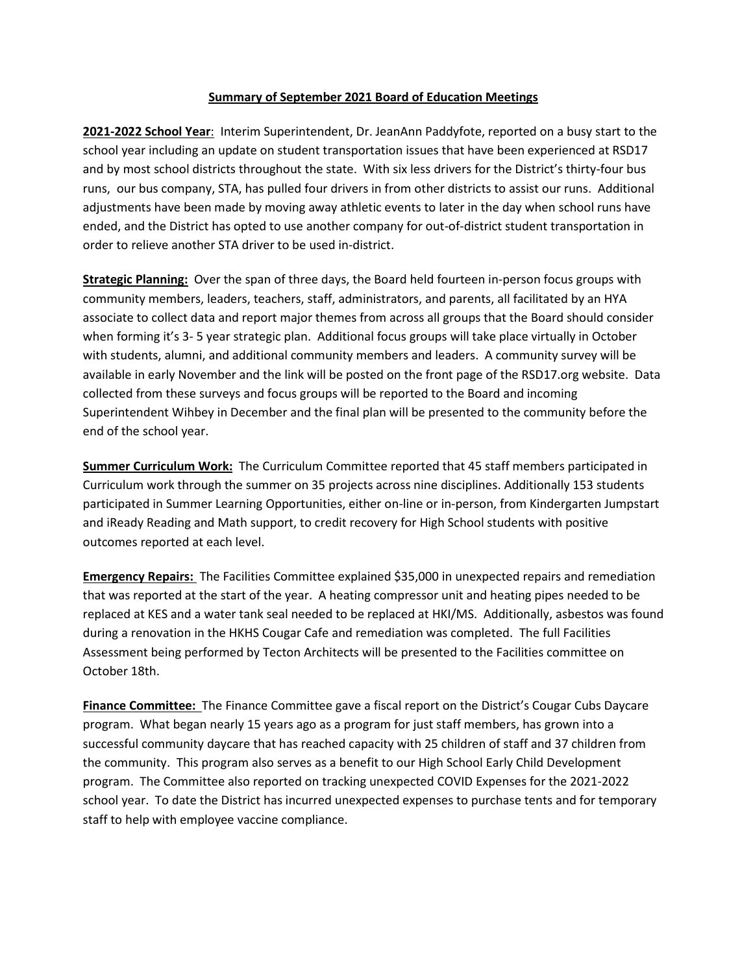## **Summary of September 2021 Board of Education Meetings**

**2021-2022 School Year**: Interim Superintendent, Dr. JeanAnn Paddyfote, reported on a busy start to the school year including an update on student transportation issues that have been experienced at RSD17 and by most school districts throughout the state. With six less drivers for the District's thirty-four bus runs, our bus company, STA, has pulled four drivers in from other districts to assist our runs. Additional adjustments have been made by moving away athletic events to later in the day when school runs have ended, and the District has opted to use another company for out-of-district student transportation in order to relieve another STA driver to be used in-district.

**Strategic Planning:** Over the span of three days, the Board held fourteen in-person focus groups with community members, leaders, teachers, staff, administrators, and parents, all facilitated by an HYA associate to collect data and report major themes from across all groups that the Board should consider when forming it's 3- 5 year strategic plan. Additional focus groups will take place virtually in October with students, alumni, and additional community members and leaders. A community survey will be available in early November and the link will be posted on the front page of the RSD17.org website. Data collected from these surveys and focus groups will be reported to the Board and incoming Superintendent Wihbey in December and the final plan will be presented to the community before the end of the school year.

**Summer Curriculum Work:** The Curriculum Committee reported that 45 staff members participated in Curriculum work through the summer on 35 projects across nine disciplines. Additionally 153 students participated in Summer Learning Opportunities, either on-line or in-person, from Kindergarten Jumpstart and iReady Reading and Math support, to credit recovery for High School students with positive outcomes reported at each level.

**Emergency Repairs:** The Facilities Committee explained \$35,000 in unexpected repairs and remediation that was reported at the start of the year. A heating compressor unit and heating pipes needed to be replaced at KES and a water tank seal needed to be replaced at HKI/MS. Additionally, asbestos was found during a renovation in the HKHS Cougar Cafe and remediation was completed. The full Facilities Assessment being performed by Tecton Architects will be presented to the Facilities committee on October 18th.

**Finance Committee:** The Finance Committee gave a fiscal report on the District's Cougar Cubs Daycare program. What began nearly 15 years ago as a program for just staff members, has grown into a successful community daycare that has reached capacity with 25 children of staff and 37 children from the community. This program also serves as a benefit to our High School Early Child Development program. The Committee also reported on tracking unexpected COVID Expenses for the 2021-2022 school year. To date the District has incurred unexpected expenses to purchase tents and for temporary staff to help with employee vaccine compliance.